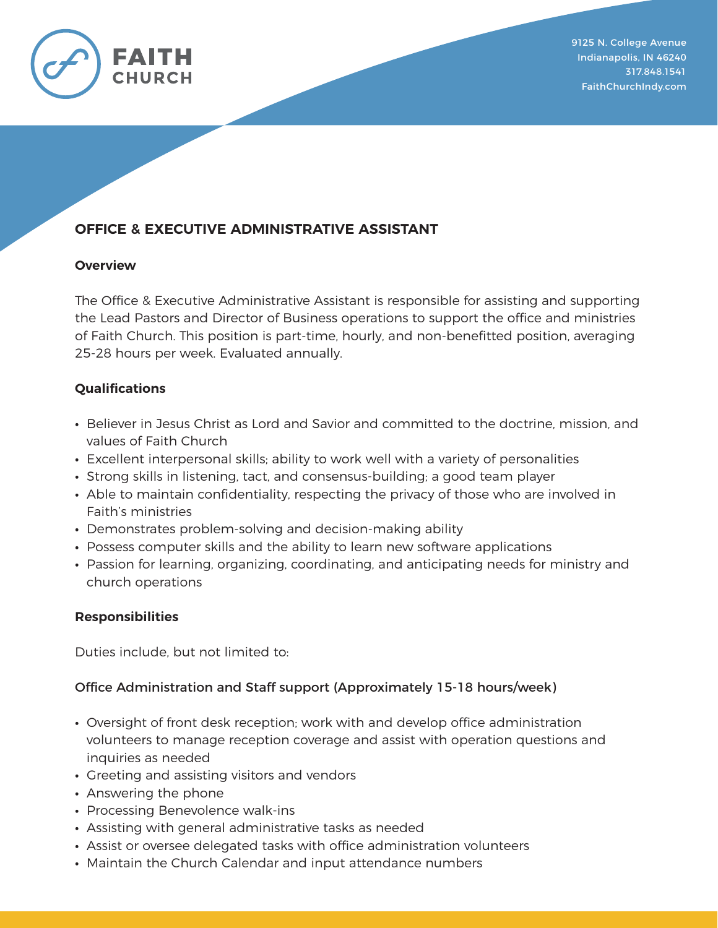

# **OFFICE & EXECUTIVE ADMINISTRATIVE ASSISTANT**

### **Overview**

The Office & Executive Administrative Assistant is responsible for assisting and supporting the Lead Pastors and Director of Business operations to support the office and ministries of Faith Church. This position is part-time, hourly, and non-benefitted position, averaging 25-28 hours per week. Evaluated annually.

## **Qualifications**

- **∙** Believer in Jesus Christ as Lord and Savior and committed to the doctrine, mission, and values of Faith Church
- **∙** Excellent interpersonal skills; ability to work well with a variety of personalities
- **∙** Strong skills in listening, tact, and consensus-building; a good team player
- **∙** Able to maintain confidentiality, respecting the privacy of those who are involved in Faith's ministries
- **∙** Demonstrates problem-solving and decision-making ability
- **∙** Possess computer skills and the ability to learn new software applications
- **∙** Passion for learning, organizing, coordinating, and anticipating needs for ministry and church operations

#### **Responsibilities**

Duties include, but not limited to:

## Office Administration and Staff support (Approximately 15-18 hours/week)

- **∙** Oversight of front desk reception; work with and develop office administration volunteers to manage reception coverage and assist with operation questions and inquiries as needed
- **∙** Greeting and assisting visitors and vendors
- **∙** Answering the phone
- **∙** Processing Benevolence walk-ins
- **∙** Assisting with general administrative tasks as needed
- **∙** Assist or oversee delegated tasks with office administration volunteers
- **∙** Maintain the Church Calendar and input attendance numbers